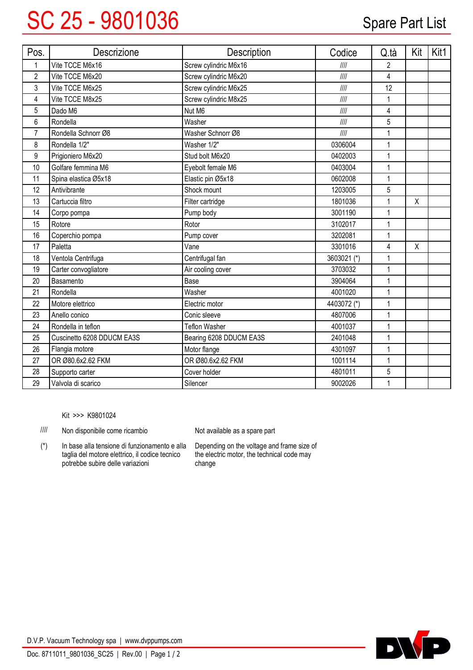## SC 25 - 9801036 Spare Part List

| Pos.           | <b>Descrizione</b>         | Description             | Codice        | Q.tà           | Kit | Kit1 |
|----------------|----------------------------|-------------------------|---------------|----------------|-----|------|
| 1              | Vite TCCE M6x16            | Screw cylindric M6x16   | III           | $\overline{2}$ |     |      |
| $\overline{c}$ | Vite TCCE M6x20            | Screw cylindric M6x20   | $\frac{1}{1}$ | $\overline{4}$ |     |      |
| 3              | Vite TCCE M6x25            | Screw cylindric M6x25   | III           | 12             |     |      |
| 4              | Vite TCCE M8x25            | Screw cylindric M8x25   | $\frac{1}{1}$ | 1              |     |      |
| 5              | Dado M6                    | Nut M6                  | $\frac{1}{1}$ | 4              |     |      |
| 6              | Rondella                   | Washer                  | $\frac{1}{1}$ | 5              |     |      |
| $\overline{7}$ | Rondella Schnorr Ø8        | Washer Schnorr Ø8       | III           | 1              |     |      |
| 8              | Rondella 1/2"              | Washer 1/2"             | 0306004       | 1              |     |      |
| 9              | Prigioniero M6x20          | Stud bolt M6x20         | 0402003       | 1              |     |      |
| 10             | Golfare femmina M6         | Eyebolt female M6       | 0403004       | 1              |     |      |
| 11             | Spina elastica Ø5x18       | Elastic pin Ø5x18       | 0602008       | 1              |     |      |
| 12             | Antivibrante               | Shock mount             | 1203005       | 5              |     |      |
| 13             | Cartuccia filtro           | Filter cartridge        | 1801036       | 1              | Χ   |      |
| 14             | Corpo pompa                | Pump body               | 3001190       | 1              |     |      |
| 15             | Rotore                     | Rotor                   | 3102017       | 1              |     |      |
| 16             | Coperchio pompa            | Pump cover              | 3202081       | 1              |     |      |
| 17             | Paletta                    | Vane                    | 3301016       | 4              | X   |      |
| 18             | Ventola Centrifuga         | Centrifugal fan         | 3603021 (*)   | 1              |     |      |
| 19             | Carter convogliatore       | Air cooling cover       | 3703032       | 1              |     |      |
| 20             | Basamento                  | Base                    | 3904064       | 1              |     |      |
| 21             | Rondella                   | Washer                  | 4001020       | 1              |     |      |
| 22             | Motore elettrico           | Electric motor          | 4403072 (*)   | 1              |     |      |
| 23             | Anello conico              | Conic sleeve            | 4807006       | 1              |     |      |
| 24             | Rondella in teflon         | <b>Teflon Washer</b>    | 4001037       | 1              |     |      |
| 25             | Cuscinetto 6208 DDUCM EA3S | Bearing 6208 DDUCM EA3S | 2401048       | 1              |     |      |
| 26             | Flangia motore             | Motor flange            | 4301097       | 1              |     |      |
| 27             | OR Ø80.6x2.62 FKM          | OR Ø80.6x2.62 FKM       | 1001114       | 1              |     |      |
| 28             | Supporto carter            | Cover holder            | 4801011       | 5              |     |      |
| 29             | Valvola di scarico         | Silencer                | 9002026       | 1              |     |      |

Kit >>> K9801024

//// Non disponibile come ricambio

In base alla tensione di funzionamento e alla taglia del motore elettrico, il codice tecnico potrebbe subire delle variazioni (\*)

Not available as <sup>a</sup> spare part

Depending on the voltage and frame size of the electric motor, the technical code may change



D.V.P. Vacuum Technology spa | www.dvppumps.com